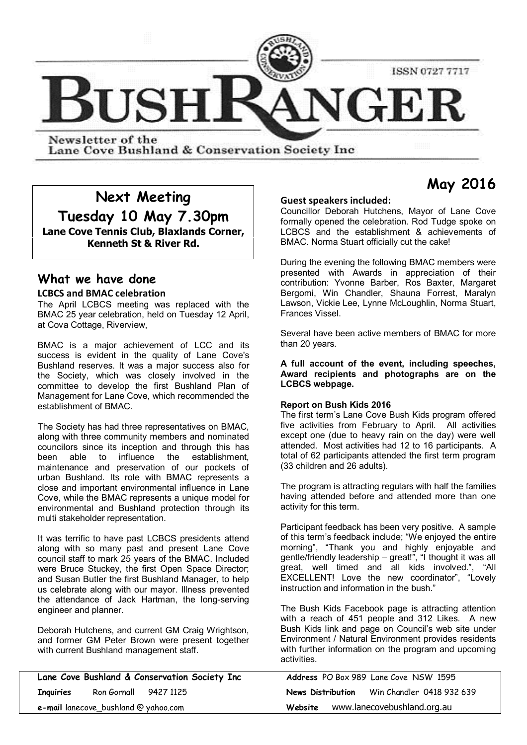

Newsletter of the Lane Cove Bushland & Conservation Society Inc

# **Next Meeting**

**Tuesday 10 May 7.30pm Lane Cove Tennis Club, Blaxlands Corner,**

**Kenneth St & River Rd.**

# **What we have done**

#### **LCBCS and BMAC celebration**

The April LCBCS meeting was replaced with the BMAC 25 year celebration, held on Tuesday 12 April, at Cova Cottage, Riverview,

BMAC is a major achievement of LCC and its success is evident in the quality of Lane Cove's Bushland reserves. It was a major success also for the Society, which was closely involved in the committee to develop the first Bushland Plan of Management for Lane Cove, which recommended the establishment of BMAC.

The Society has had three representatives on BMAC, along with three community members and nominated councilors since its inception and through this has been able to influence the establishment, maintenance and preservation of our pockets of urban Bushland. Its role with BMAC represents a close and important environmental influence in Lane Cove, while the BMAC represents a unique model for environmental and Bushland protection through its multi stakeholder representation.

It was terrific to have past LCBCS presidents attend along with so many past and present Lane Cove council staff to mark 25 years of the BMAC. Included were Bruce Stuckey, the first Open Space Director; and Susan Butler the first Bushland Manager, to help us celebrate along with our mayor. Illness prevented the attendance of Jack Hartman, the long-serving engineer and planner.

Deborah Hutchens, and current GM Craig Wrightson, and former GM Peter Brown were present together with current Bushland management staff.

| Lane Cove Bushland & Conservation Society Inc |  |                   | Address PO Box 989 Lane Cove NSW 1595 |
|-----------------------------------------------|--|-------------------|---------------------------------------|
| Ron Gornall 9427 1125<br><b>Inquiries</b>     |  | News Distribution | Win Chandler 0418 932 639             |
| e-mail lanecove_bushland @ yahoo.com          |  | Website           | www.lanecovebushland.org.au           |

#### **Guest speakers included:**

Councillor Deborah Hutchens, Mayor of Lane Cove formally opened the celebration. Rod Tudge spoke on LCBCS and the establishment & achievements of BMAC. Norma Stuart officially cut the cake!

During the evening the following BMAC members were presented with Awards in appreciation of their contribution: Yvonne Barber, Ros Baxter, Margaret Bergomi, Win Chandler, Shauna Forrest, Maralyn Lawson, Vickie Lee, Lynne McLoughlin, Norma Stuart, Frances Vissel.

Several have been active members of BMAC for more than 20 years.

**A full account of the event, including speeches, Award recipients and photographs are on the LCBCS webpage.**

#### **Report on Bush Kids 2016**

The first term's Lane Cove Bush Kids program offered five activities from February to April. All activities except one (due to heavy rain on the day) were well attended. Most activities had 12 to 16 participants. A total of 62 participants attended the first term program (33 children and 26 adults).

The program is attracting regulars with half the families having attended before and attended more than one activity for this term.

Participant feedback has been very positive. A sample of this term's feedback include; "We enjoyed the entire morning", "Thank you and highly enjoyable and gentle/friendly leadership – great!", "I thought it was all great, well timed and all kids involved.", "All EXCELLENT! Love the new coordinator", "Lovely instruction and information in the bush."

The Bush Kids Facebook page is attracting attention with a reach of 451 people and 312 Likes. A new Bush Kids link and page on Council's web site under Environment / Natural Environment provides residents with further information on the program and upcoming activities.

|         | <b>Address</b> PO Box 989 Lane Cove NSW 1595 |  |  |  |
|---------|----------------------------------------------|--|--|--|
|         | News Distribution Win Chandler 0418 932 639  |  |  |  |
| Website | www.lanecovebushland.org.au                  |  |  |  |

# **May 2016**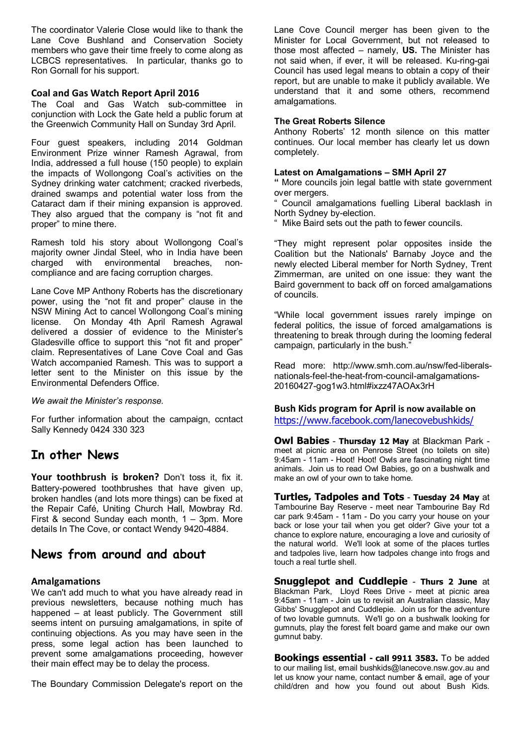The coordinator Valerie Close would like to thank the Lane Cove Bushland and Conservation Society members who gave their time freely to come along as LCBCS representatives. In particular, thanks go to Ron Gornall for his support.

#### **Coal and Gas Watch Report April 2016**

The Coal and Gas Watch sub-committee in conjunction with Lock the Gate held a public forum at the Greenwich Community Hall on Sunday 3rd April.

Four guest speakers, including 2014 Goldman Environment Prize winner Ramesh Agrawal, from India, addressed a full house (150 people) to explain the impacts of Wollongong Coal's activities on the Sydney drinking water catchment; cracked riverbeds, drained swamps and potential water loss from the Cataract dam if their mining expansion is approved. They also argued that the company is "not fit and proper" to mine there.

Ramesh told his story about Wollongong Coal's majority owner Jindal Steel, who in India have been charged with environmental breaches, noncompliance and are facing corruption charges.

Lane Cove MP Anthony Roberts has the discretionary power, using the "not fit and proper" clause in the NSW Mining Act to cancel Wollongong Coal's mining license. On Monday 4th April Ramesh Agrawal delivered a dossier of evidence to the Minister's Gladesville office to support this "not fit and proper" claim. Representatives of Lane Cove Coal and Gas Watch accompanied Ramesh. This was to support a letter sent to the Minister on this issue by the Environmental Defenders Office.

#### *We await the Minister's response.*

For further information about the campaign, ccntact Sally Kennedy 0424 330 323

### **In other News**

**Your toothbrush is broken?** Don't toss it, fix it. Battery-powered toothbrushes that have given up, broken handles (and lots more things) can be fixed at the Repair Café, Uniting Church Hall, Mowbray Rd. First & second Sunday each month, 1 – 3pm. More details In The Cove, or contact Wendy 9420-4884.

### **News from around and about**

#### **Amalgamations**

We can't add much to what you have already read in previous newsletters, because nothing much has happened – at least publicly. The Government still seems intent on pursuing amalgamations, in spite of continuing objections. As you may have seen in the press, some legal action has been launched to prevent some amalgamations proceeding, however their main effect may be to delay the process.

The Boundary Commission Delegate's report on the

Lane Cove Council merger has been given to the Minister for Local Government, but not released to those most affected – namely, **US.** The Minister has not said when, if ever, it will be released. Ku-ring-gai Council has used legal means to obtain a copy of their report, but are unable to make it publicly available. We understand that it and some others, recommend amalgamations.

#### **The Great Roberts Silence**

Anthony Roberts' 12 month silence on this matter continues. Our local member has clearly let us down completely.

#### **Latest on Amalgamations – SMH April 27**

**"** More councils join legal battle with state government over mergers.

Council amalgamations fuelling Liberal backlash in North Sydney by-election.

Mike Baird sets out the path to fewer councils.

"They might represent polar opposites inside the Coalition but the Nationals' Barnaby Joyce and the newly elected Liberal member for North Sydney, Trent Zimmerman, are united on one issue: they want the Baird government to back off on forced amalgamations of councils.

"While local government issues rarely impinge on federal politics, the issue of forced amalgamations is threatening to break through during the looming federal campaign, particularly in the bush."

Read more: http://www.smh.com.au/nsw/fed-liberalsnationals-feel-the-heat-from-council-amalgamations-20160427-gog1w3.html#ixzz47AOAx3rH

#### **Bush Kids program for April is now available on** https://www.facebook.com/lanecovebushkids/

**Owl Babies** - **Thursday 12 May** at Blackman Park meet at picnic area on Penrose Street (no toilets on site) 9:45am - 11am - Hoot! Hoot! Owls are fascinating night time animals. Join us to read Owl Babies, go on a bushwalk and make an owl of your own to take home.

**Turtles, Tadpoles and Tots** - **Tuesday 24 May** at Tambourine Bay Reserve - meet near Tambourine Bay Rd car park 9:45am - 11am - Do you carry your house on your back or lose your tail when you get older? Give your tot a chance to explore nature, encouraging a love and curiosity of the natural world. We'll look at some of the places turtles and tadpoles live, learn how tadpoles change into frogs and touch a real turtle shell.

**Snugglepot and Cuddlepie** - **Thurs 2 June** at Blackman Park, Lloyd Rees Drive - meet at picnic area 9:45am - 11am - Join us to revisit an Australian classic, May Gibbs' Snugglepot and Cuddlepie. Join us for the adventure of two lovable gumnuts. We'll go on a bushwalk looking for gumnuts, play the forest felt board game and make our own gumnut baby.

**Bookings essential - call 9911 3583.** To be added to our mailing list, email bushkids@lanecove.nsw.gov.au and let us know your name, contact number & email, age of your child/dren and how you found out about Bush Kids.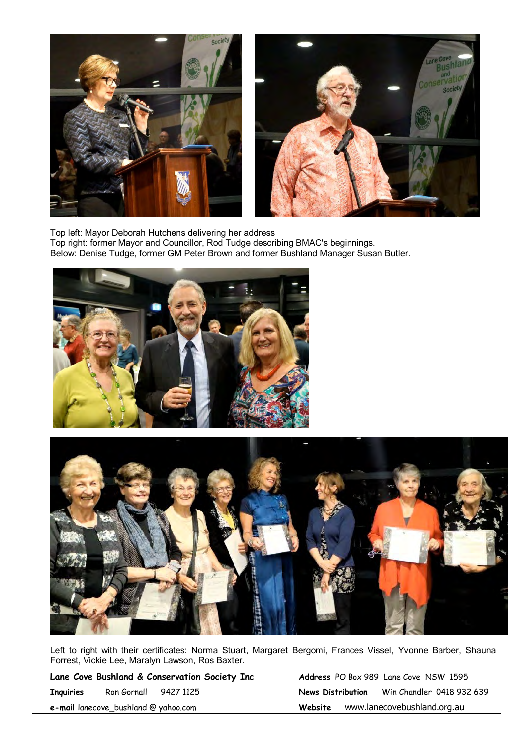



Top left: Mayor Deborah Hutchens delivering her address Top right: former Mayor and Councillor, Rod Tudge describing BMAC's beginnings. Below: Denise Tudge, former GM Peter Brown and former Bushland Manager Susan Butler.





Left to right with their certificates: Norma Stuart, Margaret Bergomi, Frances Vissel, Yvonne Barber, Shauna Forrest, Vickie Lee, Maralyn Lawson, Ros Baxter.

|                                          | Lane Cove Bushland & Conservation Society Inc |  |  |  |  |  |
|------------------------------------------|-----------------------------------------------|--|--|--|--|--|
| Inquiries                                | Ron Gornall 9427 1125                         |  |  |  |  |  |
| $e$ -mail lanecove, bushland @ vahoo com |                                               |  |  |  |  |  |

Address PO Box 989 Lane Cove NSW 1595 **News Distribution** Win Chandler 0418 932 639 **Website** www.lanecovebushland.org.au